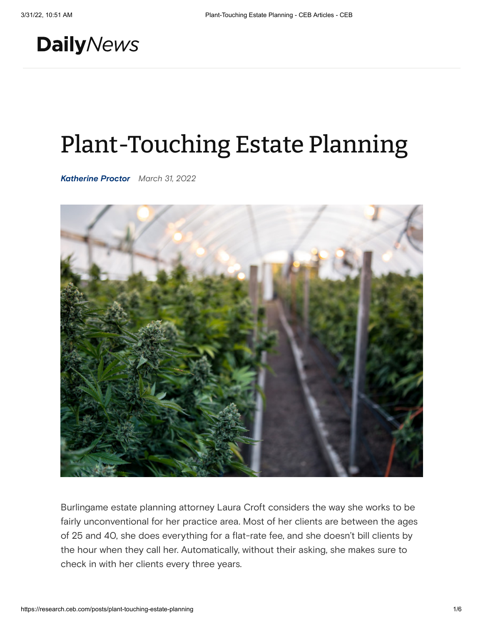## **Daily**News

# Plant-Touching Estate Planning

*Katherine Proctor March 31, 2022*



Burlingame estate planning attorney Laura Croft considers the way she works to be fairly unconventional for her practice area. Most of her clients are between the ages of 25 and 40, she does everything for a flat-rate fee, and she doesn't bill clients by the hour when they call her. Automatically, without their asking, she makes sure to check in with her clients every three years.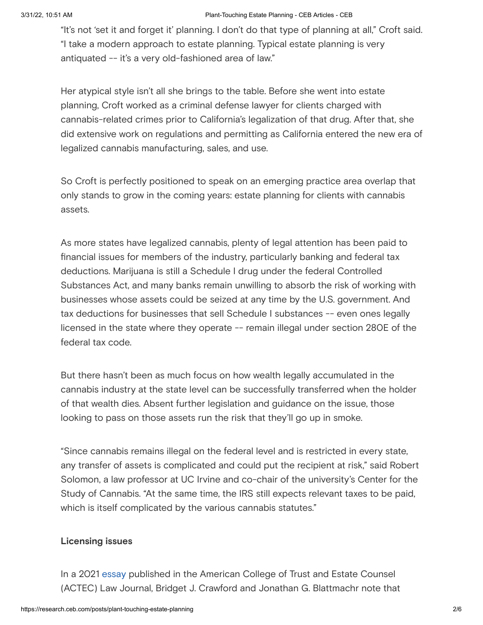"It's not 'set it and forget it' planning. I don't do that type of planning at all," Croft said. "I take a modern approach to estate planning. Typical estate planning is very antiquated -- it's a very old-fashioned area of law."

Her atypical style isn't all she brings to the table. Before she went into estate planning, Croft worked as a criminal defense lawyer for clients charged with cannabis-related crimes prior to California's legalization of that drug. After that, she did extensive work on regulations and permitting as California entered the new era of legalized cannabis manufacturing, sales, and use.

So Croft is perfectly positioned to speak on an emerging practice area overlap that only stands to grow in the coming years: estate planning for clients with cannabis assets.

As more states have legalized cannabis, plenty of legal attention has been paid to financial issues for members of the industry, particularly banking and federal tax deductions. Marijuana is still a Schedule I drug under the federal Controlled Substances Act, and many banks remain unwilling to absorb the risk of working with businesses whose assets could be seized at any time by the U.S. government. And tax deductions for businesses that sell Schedule I substances -- even ones legally licensed in the state where they operate -- remain illegal under section 280E of the federal tax code.

But there hasn't been as much focus on how wealth legally accumulated in the cannabis industry at the state level can be successfully transferred when the holder of that wealth dies. Absent further legislation and guidance on the issue, those looking to pass on those assets run the risk that they'll go up in smoke.

"Since cannabis remains illegal on the federal level and is restricted in every state, any transfer of assets is complicated and could put the recipient at risk," said Robert Solomon, a law professor at UC Irvine and co-chair of the university's Center for the Study of Cannabis. "At the same time, the IRS still expects relevant taxes to be paid, which is itself complicated by the various cannabis statutes."

#### **Licensing issues**

In a 2021 [essay](https://papers.ssrn.com/sol3/papers.cfm?abstract_id=3898182) published in the American College of Trust and Estate Counsel (ACTEC) Law Journal, Bridget J. Crawford and Jonathan G. Blattmachr note that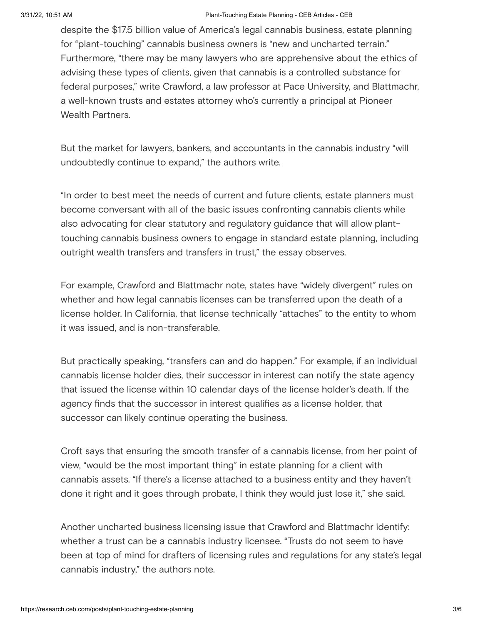despite the \$17.5 billion value of America's legal cannabis business, estate planning for "plant-touching" cannabis business owners is "new and uncharted terrain." Furthermore, "there may be many lawyers who are apprehensive about the ethics of advising these types of clients, given that cannabis is a controlled substance for federal purposes," write Crawford, a law professor at Pace University, and Blattmachr, a well-known trusts and estates attorney who's currently a principal at Pioneer Wealth Partners.

But the market for lawyers, bankers, and accountants in the cannabis industry "will undoubtedly continue to expand," the authors write.

"In order to best meet the needs of current and future clients, estate planners must become conversant with all of the basic issues confronting cannabis clients while also advocating for clear statutory and regulatory guidance that will allow planttouching cannabis business owners to engage in standard estate planning, including outright wealth transfers and transfers in trust," the essay observes.

For example, Crawford and Blattmachr note, states have "widely divergent" rules on whether and how legal cannabis licenses can be transferred upon the death of a license holder. In California, that license technically "attaches" to the entity to whom it was issued, and is non-transferable.

But practically speaking, "transfers can and do happen." For example, if an individual cannabis license holder dies, their successor in interest can notify the state agency that issued the license within 10 calendar days of the license holder's death. If the agency finds that the successor in interest qualifies as a license holder, that successor can likely continue operating the business.

Croft says that ensuring the smooth transfer of a cannabis license, from her point of view, "would be the most important thing" in estate planning for a client with cannabis assets. "If there's a license attached to a business entity and they haven't done it right and it goes through probate, I think they would just lose it," she said.

Another uncharted business licensing issue that Crawford and Blattmachr identify: whether a trust can be a cannabis industry licensee. "Trusts do not seem to have been at top of mind for drafters of licensing rules and regulations for any state's legal cannabis industry," the authors note.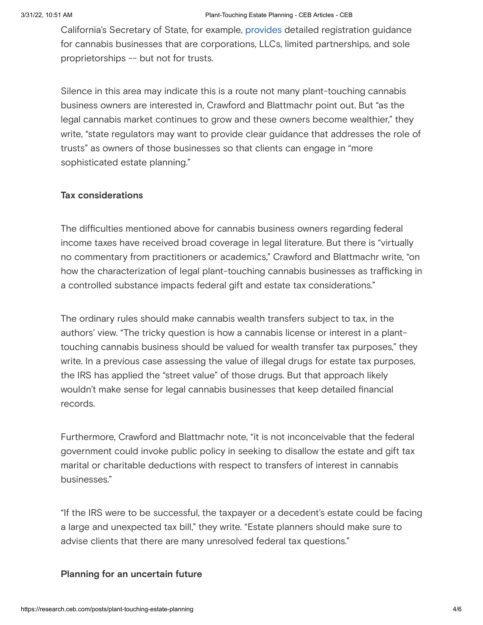California's Secretary of State, for example, [provides](https://bpd.cdn.sos.ca.gov/cannabizfile/10steps2.pdf) detailed registration guidance for cannabis businesses that are corporations, LLCs, limited partnerships, and sole proprietorships -- but not for trusts.

Silence in this area may indicate this is a route not many plant-touching cannabis business owners are interested in, Crawford and Blattmachr point out. But "as the legal cannabis market continues to grow and these owners become wealthier," they write, "state regulators may want to provide clear guidance that addresses the role of trusts" as owners of those businesses so that clients can engage in "more sophisticated estate planning."

#### **Tax considerations**

The difficulties mentioned above for cannabis business owners regarding federal income taxes have received broad coverage in legal literature. But there is "virtually no commentary from practitioners or academics," Crawford and Blattmachr write, "on how the characterization of legal plant-touching cannabis businesses as trafficking in a controlled substance impacts federal gift and estate tax considerations."

The ordinary rules should make cannabis wealth transfers subject to tax, in the authors' view. "The tricky question is how a cannabis license or interest in a planttouching cannabis business should be valued for wealth transfer tax purposes," they write. In a previous case assessing the value of illegal drugs for estate tax purposes, the IRS has applied the "street value" of those drugs. But that approach likely wouldn't make sense for legal cannabis businesses that keep detailed financial records.

Furthermore, Crawford and Blattmachr note, "it is not inconceivable that the federal government could invoke public policy in seeking to disallow the estate and gift tax marital or charitable deductions with respect to transfers of interest in cannabis businesses."

"If the IRS were to be successful, the taxpayer or a decedent's estate could be facing a large and unexpected tax bill," they write. "Estate planners should make sure to advise clients that there are many unresolved federal tax questions."

#### **Planning for an uncertain future**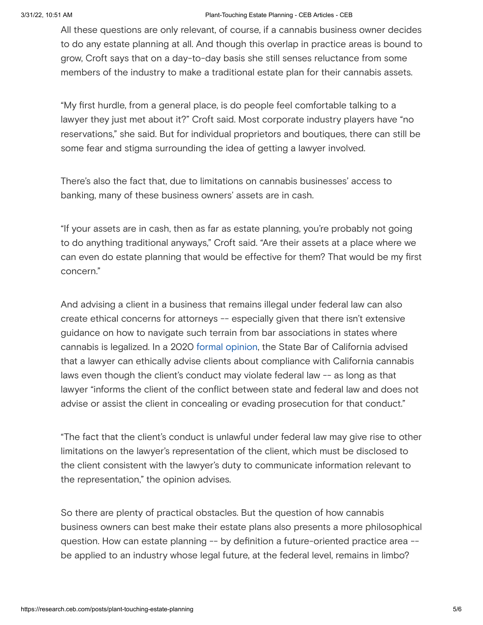#### 3/31/22, 10:51 AM Plant-Touching Estate Planning - CEB Articles - CEB

All these questions are only relevant, of course, if a cannabis business owner decides to do any estate planning at all. And though this overlap in practice areas is bound to grow, Croft says that on a day-to-day basis she still senses reluctance from some members of the industry to make a traditional estate plan for their cannabis assets.

"My first hurdle, from a general place, is do people feel comfortable talking to a lawyer they just met about it?" Croft said. Most corporate industry players have "no reservations," she said. But for individual proprietors and boutiques, there can still be some fear and stigma surrounding the idea of getting a lawyer involved.

There's also the fact that, due to limitations on cannabis businesses' access to banking, many of these business owners' assets are in cash.

"If your assets are in cash, then as far as estate planning, you're probably not going to do anything traditional anyways," Croft said. "Are their assets at a place where we can even do estate planning that would be effective for them? That would be my first concern."

And advising a client in a business that remains illegal under federal law can also create ethical concerns for attorneys -- especially given that there isn't extensive guidance on how to navigate such terrain from bar associations in states where cannabis is legalized. In a 2020 formal [opinion,](https://www.calbar.ca.gov/Portals/0/documents/ethics/Opinions/Formal-Opinion-2020-202-17-0001.pdf) the State Bar of California advised that a lawyer can ethically advise clients about compliance with California cannabis laws even though the client's conduct may violate federal law -- as long as that lawyer "informs the client of the conflict between state and federal law and does not advise or assist the client in concealing or evading prosecution for that conduct."

"The fact that the client's conduct is unlawful under federal law may give rise to other limitations on the lawyer's representation of the client, which must be disclosed to the client consistent with the lawyer's duty to communicate information relevant to the representation," the opinion advises.

So there are plenty of practical obstacles. But the question of how cannabis business owners can best make their estate plans also presents a more philosophical question. How can estate planning -- by definition a future-oriented practice area - be applied to an industry whose legal future, at the federal level, remains in limbo?